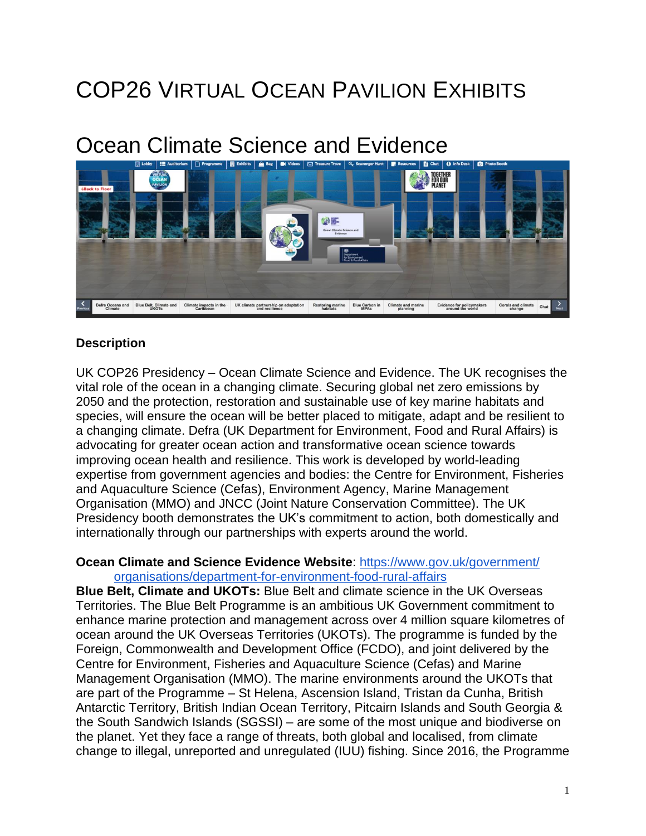# COP26 VIRTUAL OCEAN PAVILION EXHIBITS

## Ocean Climate Science and Evidence



### **Description**

UK COP26 Presidency – Ocean Climate Science and Evidence. The UK recognises the vital role of the ocean in a changing climate. Securing global net zero emissions by 2050 and the protection, restoration and sustainable use of key marine habitats and species, will ensure the ocean will be better placed to mitigate, adapt and be resilient to a changing climate. Defra (UK Department for Environment, Food and Rural Affairs) is advocating for greater ocean action and transformative ocean science towards improving ocean health and resilience. This work is developed by world-leading expertise from government agencies and bodies: the Centre for Environment, Fisheries and Aquaculture Science (Cefas), Environment Agency, Marine Management Organisation (MMO) and JNCC (Joint Nature Conservation Committee). The UK Presidency booth demonstrates the UK's commitment to action, both domestically and internationally through our partnerships with experts around the world.

#### **Ocean Climate and Science Evidence Website**: [https://www.gov.uk/government/](https://www.gov.uk/government/organisations/department-for-environment-food-rural-affairs) organisations/department-for-environment-food-rural-affairs

**Blue Belt, Climate and UKOTs:** Blue Belt and climate science in the UK Overseas Territories. The Blue Belt Programme is an ambitious UK Government commitment to enhance marine protection and management across over 4 million square kilometres of ocean around the UK Overseas Territories (UKOTs). The programme is funded by the Foreign, Commonwealth and Development Office (FCDO), and joint delivered by the Centre for Environment, Fisheries and Aquaculture Science (Cefas) and Marine Management Organisation (MMO). The marine environments around the UKOTs that are part of the Programme – St Helena, Ascension Island, Tristan da Cunha, British Antarctic Territory, British Indian Ocean Territory, Pitcairn Islands and South Georgia & the South Sandwich Islands (SGSSI) – are some of the most unique and biodiverse on the planet. Yet they face a range of threats, both global and localised, from climate change to illegal, unreported and unregulated (IUU) fishing. Since 2016, the Programme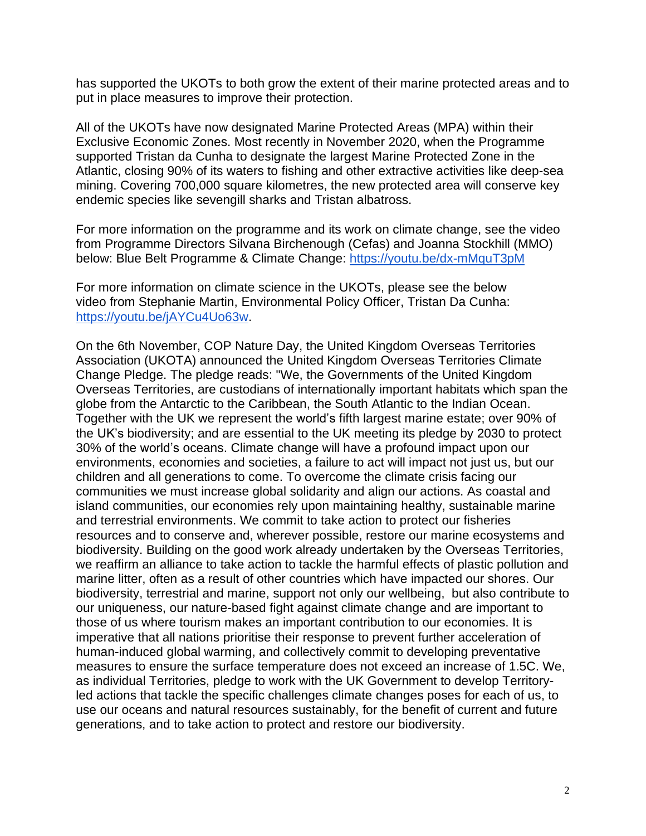has supported the UKOTs to both grow the extent of their marine protected areas and to put in place measures to improve their protection.

All of the UKOTs have now designated Marine Protected Areas (MPA) within their Exclusive Economic Zones. Most recently in November 2020, when the Programme supported Tristan da Cunha to designate the largest Marine Protected Zone in the Atlantic, closing 90% of its waters to fishing and other extractive activities like deep-sea mining. Covering 700,000 square kilometres, the new protected area will conserve key endemic species like sevengill sharks and Tristan albatross.

For more information on the programme and its work on climate change, see the video from Programme Directors Silvana Birchenough (Cefas) and Joanna Stockhill (MMO) below: Blue Belt Programme & Climate Change: <https://youtu.be/dx-mMquT3pM>

For more information on climate science in the UKOTs, please see the below video from Stephanie Martin, Environmental Policy Officer, Tristan Da Cunha: [https://youtu.be/jAYCu4Uo63w.](https://youtu.be/jAYCu4Uo63w)

On the 6th November, COP Nature Day, the United Kingdom Overseas Territories Association (UKOTA) announced the United Kingdom Overseas Territories Climate Change Pledge. The pledge reads: "We, the Governments of the United Kingdom Overseas Territories, are custodians of internationally important habitats which span the globe from the Antarctic to the Caribbean, the South Atlantic to the Indian Ocean. Together with the UK we represent the world's fifth largest marine estate; over 90% of the UK's biodiversity; and are essential to the UK meeting its pledge by 2030 to protect 30% of the world's oceans. Climate change will have a profound impact upon our environments, economies and societies, a failure to act will impact not just us, but our children and all generations to come. To overcome the climate crisis facing our communities we must increase global solidarity and align our actions. As coastal and island communities, our economies rely upon maintaining healthy, sustainable marine and terrestrial environments. We commit to take action to protect our fisheries resources and to conserve and, wherever possible, restore our marine ecosystems and biodiversity. Building on the good work already undertaken by the Overseas Territories, we reaffirm an alliance to take action to tackle the harmful effects of plastic pollution and marine litter, often as a result of other countries which have impacted our shores. Our biodiversity, terrestrial and marine, support not only our wellbeing, but also contribute to our uniqueness, our nature-based fight against climate change and are important to those of us where tourism makes an important contribution to our economies. It is imperative that all nations prioritise their response to prevent further acceleration of human-induced global warming, and collectively commit to developing preventative measures to ensure the surface temperature does not exceed an increase of 1.5C. We, as individual Territories, pledge to work with the UK Government to develop Territoryled actions that tackle the specific challenges climate changes poses for each of us, to use our oceans and natural resources sustainably, for the benefit of current and future generations, and to take action to protect and restore our biodiversity.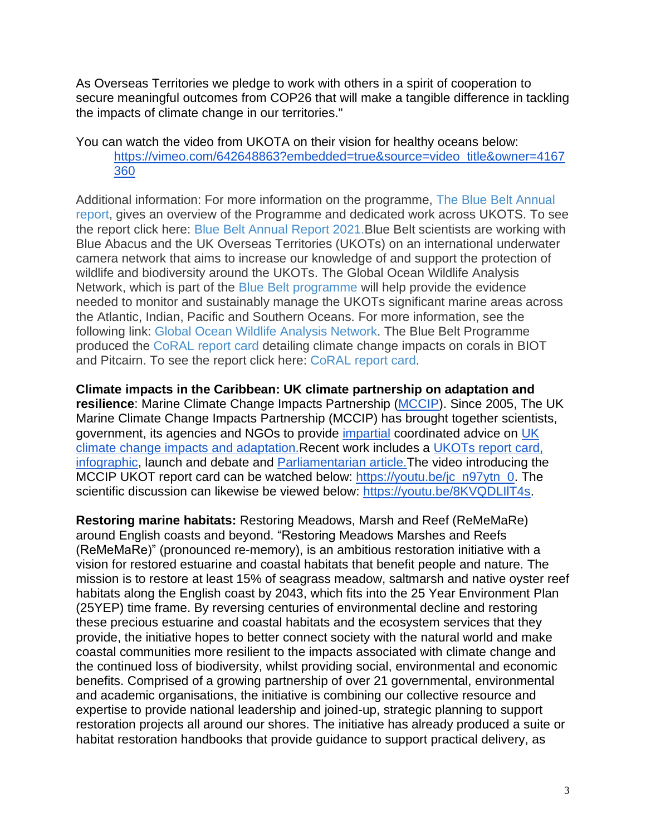As Overseas Territories we pledge to work with others in a spirit of cooperation to secure meaningful outcomes from COP26 that will make a tangible difference in tackling the impacts of climate change in our territories."

You can watch the video from UKOTA on their vision for healthy oceans below: [https://vimeo.com/642648863?embedded=true&source=video\\_title&owner=4167](https://vimeo.com/642648863?embedded=true&source=video_title&owner=4167360) [360](https://vimeo.com/642648863?embedded=true&source=video_title&owner=4167360)

Additional information: For more information on the programme, The Blue Belt [Annual](https://assets.publishing.service.gov.uk/government/uploads/system/uploads/attachment_data/file/991732/MW1196_Blue_Belt_annual_report_2021_Final_AC.pdf) [report,](https://assets.publishing.service.gov.uk/government/uploads/system/uploads/attachment_data/file/991732/MW1196_Blue_Belt_annual_report_2021_Final_AC.pdf) gives an overview of the Programme and dedicated work across UKOTS. To see the report click here: Blue Belt [Annual](https://assets.publishing.service.gov.uk/government/uploads/system/uploads/attachment_data/file/991732/MW1196_Blue_Belt_annual_report_2021_Final_AC.pdf) Report 2021.Blue Belt scientists are working with Blue Abacus and the UK Overseas Territories (UKOTs) on an international underwater camera network that aims to increase our knowledge of and support the protection of wildlife and biodiversity around the UKOTs. The Global Ocean Wildlife Analysis Network, which is part of the Blue Belt [programme](https://www.gov.uk/government/publications/the-blue-belt-programme) will help provide the evidence needed to monitor and sustainably manage the UKOTs significant marine areas across the Atlantic, Indian, Pacific and Southern Oceans. For more information, see the following link: Global Ocean Wildlife Analysis [Network.](https://marinescience.blog.gov.uk/2021/04/03/pulling-back-the-blue-curtain-in-the-uk-overseas-territories/) The Blue Belt Programme produced the [CoRAL](https://assets.publishing.service.gov.uk/government/uploads/system/uploads/attachment_data/file/977846/CEFAS_Blue_Belt_climate_change_impact_on_corals_report_card_for_BIOT_and_Pitcairn.pdf) report card detailing climate change impacts on corals in BIOT and Pitcairn. To see the report click here: [CoRAL](https://assets.publishing.service.gov.uk/government/uploads/system/uploads/attachment_data/file/977846/CEFAS_Blue_Belt_climate_change_impact_on_corals_report_card_for_BIOT_and_Pitcairn.pdf) report card.

**Climate impacts in the Caribbean: UK climate partnership on adaptation and resilience**: Marine Climate Change Impacts Partnership [\(MCCIP\)](http://www.mccip.org.uk/). Since 2005, The UK Marine Climate Change Impacts Partnership (MCCIP) has brought together scientists, government, its agencies and NGOs to provide [impartial](https://www.sciencedirect.com/science/article/pii/S1462901117307979) coordinated advice on [UK](https://www.mccip.org.uk/all-uk) climate change impacts and [adaptation.R](https://www.mccip.org.uk/all-uk)ecent work includes a [UKOTs](https://www.mccip.org.uk/uk-overseas-territories) report card, [infographic,](https://www.mccip.org.uk/sites/default/files/2021-08/mccip-a3-map-v6.pdf) launch and debate and [Parliamentarian](https://issuu.com/theparliamentarian/docs/parl2021iss3finalsingle/46) article.The video introducing the MCCIP UKOT report card can be watched below: [https://youtu.be/jc\\_n97ytn\\_0.](https://youtu.be/jc_n97ytn_0) The scientific discussion can likewise be viewed below: https://youtu.be/8KVQDLIIT4s.

**Restoring marine habitats:** Restoring Meadows, Marsh and Reef (ReMeMaRe) around English coasts and beyond. "Restoring Meadows Marshes and Reefs (ReMeMaRe)" (pronounced re-memory), is an ambitious restoration initiative with a vision for restored estuarine and coastal habitats that benefit people and nature. The mission is to restore at least 15% of seagrass meadow, saltmarsh and native oyster reef habitats along the English coast by 2043, which fits into the 25 Year Environment Plan (25YEP) time frame. By reversing centuries of environmental decline and restoring these precious estuarine and coastal habitats and the ecosystem services that they provide, the initiative hopes to better connect society with the natural world and make coastal communities more resilient to the impacts associated with climate change and the continued loss of biodiversity, whilst providing social, environmental and economic benefits. Comprised of a growing partnership of over 21 governmental, environmental and academic organisations, the initiative is combining our collective resource and expertise to provide national leadership and joined-up, strategic planning to support restoration projects all around our shores. The initiative has already produced a suite or habitat restoration handbooks that provide guidance to support practical delivery, as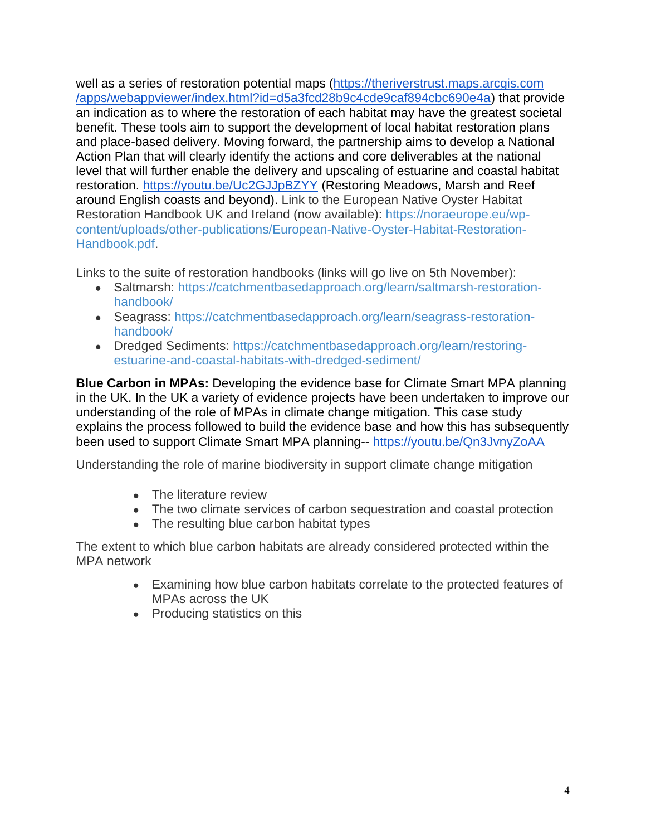well as a series of restoration potential maps [\(https://theriverstrust.maps.arcgis.com](https://theriverstrust.maps.arcgis.com/apps/webappviewer/index.html?id=d5a3fcd28b9c4cde9caf894cbc690e4a) [/apps/webappviewer/index.html?id=d5a3fcd28b9c4cde9caf894cbc690e4a\)](https://theriverstrust.maps.arcgis.com/apps/webappviewer/index.html?id=d5a3fcd28b9c4cde9caf894cbc690e4a) that provide an indication as to where the restoration of each habitat may have the greatest societal benefit. These tools aim to support the development of local habitat restoration plans and place-based delivery. Moving forward, the partnership aims to develop a National Action Plan that will clearly identify the actions and core deliverables at the national level that will further enable the delivery and upscaling of estuarine and coastal habitat restoration. <https://youtu.be/Uc2GJJpBZYY> (Restoring Meadows, Marsh and Reef around English coasts and beyond). Link to the European Native Oyster Habitat Restoration Handbook UK and Ireland (now available): [https://noraeurope.eu/wp](https://noraeurope.eu/wp-content/uploads/other-publications/European-Native-Oyster-Habitat-Restoration-Handbook.pdf)[content/uploads/other-publications/European-Native-Oyster-Habitat-Restoration-](https://noraeurope.eu/wp-content/uploads/other-publications/European-Native-Oyster-Habitat-Restoration-Handbook.pdf)[Handbook.pdf.](https://noraeurope.eu/wp-content/uploads/other-publications/European-Native-Oyster-Habitat-Restoration-Handbook.pdf)

Links to the suite of restoration handbooks (links will go live on 5th November):

- Saltmarsh: [https://catchmentbasedapproach.org/learn/saltmarsh-restoration](https://eur03.safelinks.protection.outlook.com/?url=https%253A%252F%252Fcatchmentbasedapproach.org%252Flearn%252Fsaltmarsh-restoration-handbook%252F&data=04%257C01%257Ceve.leegwater%2540environment-agency.gov.uk%257C4380d8fe36524c3b02cb08d997d2de62%257C770a245002274c6290c74e38537f1102%257C0%257C0%257C637707754208900521%257CUnknown%257CTWFpbGZsb3d8eyJWIjoiMC4wLjAwMDAiLCJQIjoiV2luMzIiLCJBTiI6Ik1haWwiLCJXVCI6Mn0%253D%257C1000&sdata=%252F42Crg6miCdHlOnoLTlGJB8g67Ls1JHKsf67u1Yqtb0%253D&reserved=0)[handbook/](https://eur03.safelinks.protection.outlook.com/?url=https%253A%252F%252Fcatchmentbasedapproach.org%252Flearn%252Fsaltmarsh-restoration-handbook%252F&data=04%257C01%257Ceve.leegwater%2540environment-agency.gov.uk%257C4380d8fe36524c3b02cb08d997d2de62%257C770a245002274c6290c74e38537f1102%257C0%257C0%257C637707754208900521%257CUnknown%257CTWFpbGZsb3d8eyJWIjoiMC4wLjAwMDAiLCJQIjoiV2luMzIiLCJBTiI6Ik1haWwiLCJXVCI6Mn0%253D%257C1000&sdata=%252F42Crg6miCdHlOnoLTlGJB8g67Ls1JHKsf67u1Yqtb0%253D&reserved=0)
- Seagrass: [https://catchmentbasedapproach.org/learn/seagrass-restoration](https://eur03.safelinks.protection.outlook.com/?url=https%253A%252F%252Fcatchmentbasedapproach.org%252Flearn%252Fseagrass-restoration-handbook%252F&data=04%257C01%257Ceve.leegwater%2540environment-agency.gov.uk%257C4380d8fe36524c3b02cb08d997d2de62%257C770a245002274c6290c74e38537f1102%257C0%257C0%257C637707754208910457%257CUnknown%257CTWFpbGZsb3d8eyJWIjoiMC4wLjAwMDAiLCJQIjoiV2luMzIiLCJBTiI6Ik1haWwiLCJXVCI6Mn0%253D%257C1000&sdata=AwX5EKgcWu1duomvuaEz3zSc%252FNy1EIavoUeZ8VLUF4A%253D&reserved=0)[handbook/](https://eur03.safelinks.protection.outlook.com/?url=https%253A%252F%252Fcatchmentbasedapproach.org%252Flearn%252Fseagrass-restoration-handbook%252F&data=04%257C01%257Ceve.leegwater%2540environment-agency.gov.uk%257C4380d8fe36524c3b02cb08d997d2de62%257C770a245002274c6290c74e38537f1102%257C0%257C0%257C637707754208910457%257CUnknown%257CTWFpbGZsb3d8eyJWIjoiMC4wLjAwMDAiLCJQIjoiV2luMzIiLCJBTiI6Ik1haWwiLCJXVCI6Mn0%253D%257C1000&sdata=AwX5EKgcWu1duomvuaEz3zSc%252FNy1EIavoUeZ8VLUF4A%253D&reserved=0)
- Dredged Sediments: [https://catchmentbasedapproach.org/learn/restoring](https://eur03.safelinks.protection.outlook.com/?url=https%253A%252F%252Fcatchmentbasedapproach.org%252Flearn%252Frestoring-estuarine-and-coastal-habitats-with-dredged-sediment%252F&data=04%257C01%257Ceve.leegwater%2540environment-agency.gov.uk%257C4380d8fe36524c3b02cb08d997d2de62%257C770a245002274c6290c74e38537f1102%257C0%257C0%257C637707754208910457%257CUnknown%257CTWFpbGZsb3d8eyJWIjoiMC4wLjAwMDAiLCJQIjoiV2luMzIiLCJBTiI6Ik1haWwiLCJXVCI6Mn0%253D%257C1000&sdata=iKa1QqJI8OBsuk006zuAvEOc4%252FpbuCZKFv0TsOe6yvE%253D&reserved=0)[estuarine-and-coastal-habitats-with-dredged-sediment/](https://eur03.safelinks.protection.outlook.com/?url=https%253A%252F%252Fcatchmentbasedapproach.org%252Flearn%252Frestoring-estuarine-and-coastal-habitats-with-dredged-sediment%252F&data=04%257C01%257Ceve.leegwater%2540environment-agency.gov.uk%257C4380d8fe36524c3b02cb08d997d2de62%257C770a245002274c6290c74e38537f1102%257C0%257C0%257C637707754208910457%257CUnknown%257CTWFpbGZsb3d8eyJWIjoiMC4wLjAwMDAiLCJQIjoiV2luMzIiLCJBTiI6Ik1haWwiLCJXVCI6Mn0%253D%257C1000&sdata=iKa1QqJI8OBsuk006zuAvEOc4%252FpbuCZKFv0TsOe6yvE%253D&reserved=0)

**Blue Carbon in MPAs:** Developing the evidence base for Climate Smart MPA planning in the UK. In the UK a variety of evidence projects have been undertaken to improve our understanding of the role of MPAs in climate change mitigation. This case study explains the process followed to build the evidence base and how this has subsequently been used to support Climate Smart MPA planning-- <https://youtu.be/Qn3JvnyZoAA>

Understanding the role of marine biodiversity in support climate change mitigation

- The literature review
- The two climate services of carbon sequestration and coastal protection
- The resulting blue carbon habitat types

The extent to which blue carbon habitats are already considered protected within the MPA network

- Examining how blue carbon habitats correlate to the protected features of MPAs across the UK
- Producing statistics on this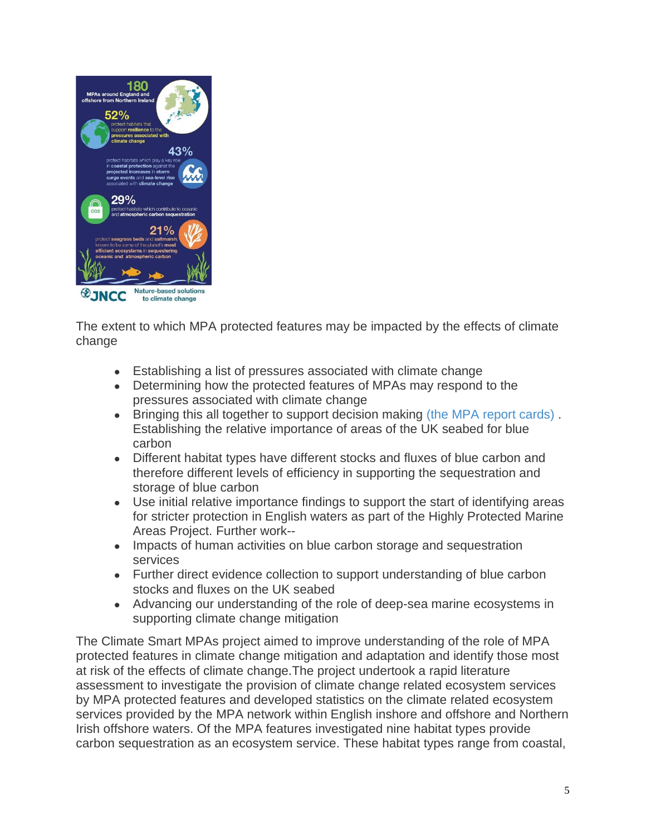

The extent to which MPA protected features may be impacted by the effects of climate change

- Establishing a list of pressures associated with climate change
- Determining how the protected features of MPAs may respond to the pressures associated with climate change
- Bringing this all together to support decision making (the MPA report [cards\)](https://hub.jncc.gov.uk/assets/55eabab3-72ea-4cec-97c4-5a9573ab9fa7). Establishing the relative importance of areas of the UK seabed for blue carbon
- Different habitat types have different stocks and fluxes of blue carbon and therefore different levels of efficiency in supporting the sequestration and storage of blue carbon
- Use initial relative importance findings to support the start of identifying areas for stricter protection in English waters as part of the Highly Protected Marine Areas Project. Further work--
- Impacts of human activities on blue carbon storage and sequestration services
- Further direct evidence collection to support understanding of blue carbon stocks and fluxes on the UK seabed
- Advancing our understanding of the role of deep-sea marine ecosystems in supporting climate change mitigation

The Climate Smart MPAs project aimed to improve understanding of the role of MPA protected features in climate change mitigation and adaptation and identify those most at risk of the effects of climate change.The project undertook a rapid literature assessment to investigate the provision of climate change related ecosystem services by MPA protected features and developed statistics on the climate related ecosystem services provided by the MPA network within English inshore and offshore and Northern Irish offshore waters. Of the MPA features investigated nine habitat types provide carbon sequestration as an ecosystem service. These habitat types range from coastal,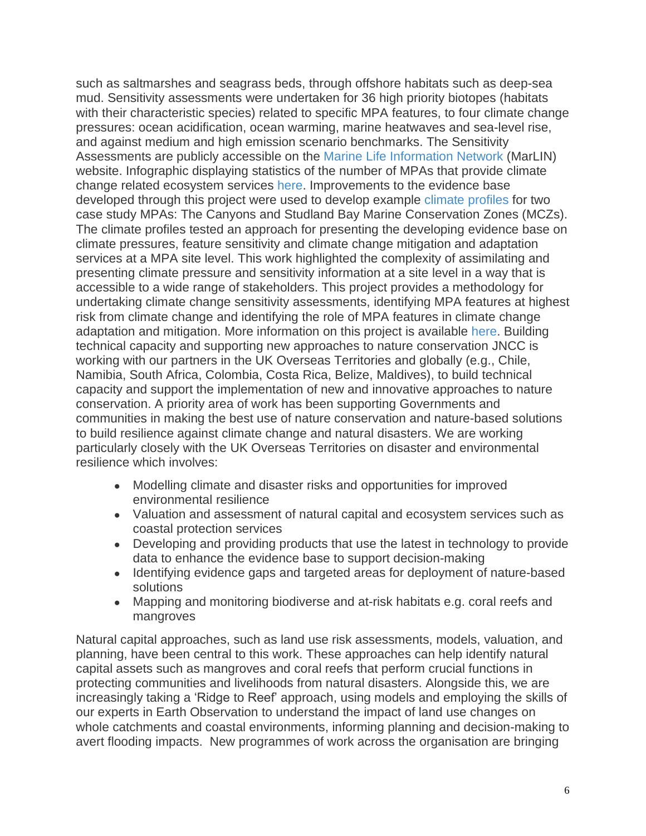such as saltmarshes and seagrass beds, through offshore habitats such as deep-sea mud. Sensitivity assessments were undertaken for 36 high priority biotopes (habitats with their characteristic species) related to specific MPA features, to four climate change pressures: ocean acidification, ocean warming, marine heatwaves and sea-level rise, and against medium and high emission scenario benchmarks. The Sensitivity Assessments are publicly accessible on the Marine Life [Information](https://www.marlin.ac.uk/habitats/az) Network (MarLIN) website. Infographic displaying statistics of the number of MPAs that provide climate change related ecosystem services [here.](https://jncc.gov.uk/media/3856/final-apr2020-mpa-cc-infographic-withmap_resized.jpg) Improvements to the evidence base developed through this project were used to develop example climate [profiles](https://hub.jncc.gov.uk/assets/55eabab3-72ea-4cec-97c4-5a9573ab9fa7) for two case study MPAs: The Canyons and Studland Bay Marine Conservation Zones (MCZs). The climate profiles tested an approach for presenting the developing evidence base on climate pressures, feature sensitivity and climate change mitigation and adaptation services at a MPA site level. This work highlighted the complexity of assimilating and presenting climate pressure and sensitivity information at a site level in a way that is accessible to a wide range of stakeholders. This project provides a methodology for undertaking climate change sensitivity assessments, identifying MPA features at highest risk from climate change and identifying the role of MPA features in climate change adaptation and mitigation. More information on this project is available [here.](https://jncc.gov.uk/our-work/climate-smart-mpas/) Building technical capacity and supporting new approaches to nature conservation JNCC is working with our partners in the UK Overseas Territories and globally (e.g., Chile, Namibia, South Africa, Colombia, Costa Rica, Belize, Maldives), to build technical capacity and support the implementation of new and innovative approaches to nature conservation. A priority area of work has been supporting Governments and communities in making the best use of nature conservation and nature-based solutions to build resilience against climate change and natural disasters. We are working particularly closely with the UK Overseas Territories on disaster and environmental resilience which involves:

- Modelling climate and disaster risks and opportunities for improved environmental resilience
- Valuation and assessment of natural capital and ecosystem services such as coastal protection services
- Developing and providing products that use the latest in technology to provide data to enhance the evidence base to support decision-making
- Identifying evidence gaps and targeted areas for deployment of nature-based solutions
- Mapping and monitoring biodiverse and at-risk habitats e.g. coral reefs and mangroves

Natural capital approaches, such as land use risk assessments, models, valuation, and planning, have been central to this work. These approaches can help identify natural capital assets such as mangroves and coral reefs that perform crucial functions in protecting communities and livelihoods from natural disasters. Alongside this, we are increasingly taking a 'Ridge to Reef' approach, using models and employing the skills of our experts in Earth Observation to understand the impact of land use changes on whole catchments and coastal environments, informing planning and decision-making to avert flooding impacts. New programmes of work across the organisation are bringing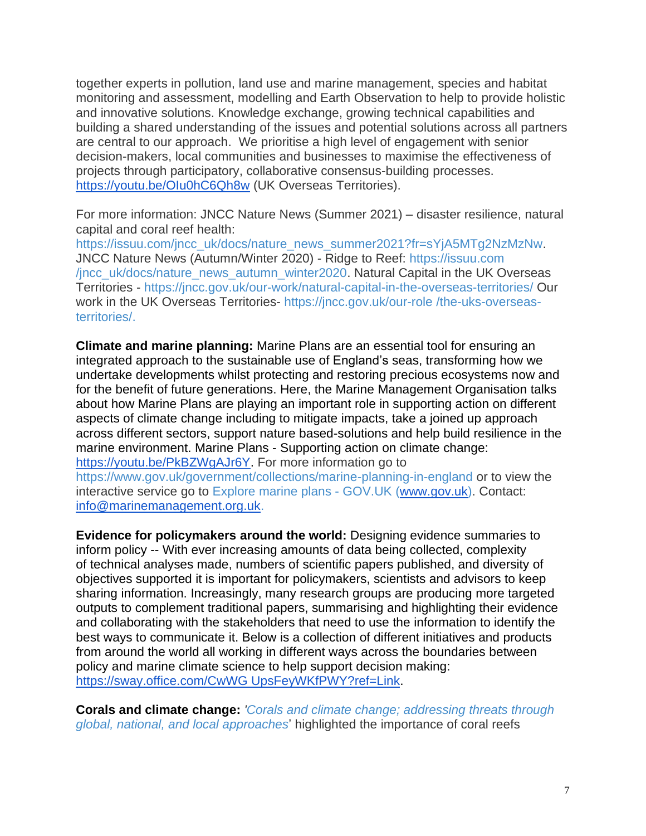together experts in pollution, land use and marine management, species and habitat monitoring and assessment, modelling and Earth Observation to help to provide holistic and innovative solutions. Knowledge exchange, growing technical capabilities and building a shared understanding of the issues and potential solutions across all partners are central to our approach. We prioritise a high level of engagement with senior decision-makers, local communities and businesses to maximise the effectiveness of projects through participatory, collaborative consensus-building processes. <https://youtu.be/OIu0hC6Qh8w> (UK Overseas Territories).

For more information: JNCC Nature News (Summer 2021) – disaster resilience, natural capital and coral reef health:

[https://issuu.com/jncc\\_uk/docs/nature\\_news\\_summer2021?fr=sYjA5MTg2NzMzNw.](https://issuu.com/jncc_uk/docs/nature_news_summer2021?fr=sYjA5MTg2NzMzNw) JNCC Nature News (Autumn/Winter 2020) - Ridge to Reef: [https://issuu.com](https://issuu.com/jncc_uk/docs/nature_news_autumn_winter2020) [/jncc\\_uk/docs/nature\\_news\\_autumn\\_winter2020.](https://issuu.com/jncc_uk/docs/nature_news_autumn_winter2020) Natural Capital in the UK Overseas Territories - <https://jncc.gov.uk/our-work/natural-capital-in-the-overseas-territories/> Our work in the UK Overseas Territories- [https://jncc.gov.uk/our-role](https://jncc.gov.uk/our-role/the-uks-overseas-territories/) /the-uks-overseas[territories/.](https://jncc.gov.uk/our-role/the-uks-overseas-territories/)

**Climate and marine planning:** Marine Plans are an essential tool for ensuring an integrated approach to the sustainable use of England's seas, transforming how we undertake developments whilst protecting and restoring precious ecosystems now and for the benefit of future generations. Here, the Marine Management Organisation talks about how Marine Plans are playing an important role in supporting action on different aspects of climate change including to mitigate impacts, take a joined up approach across different sectors, support nature based-solutions and help build resilience in the marine environment. Marine Plans - Supporting action on climate change: [https://youtu.be/PkBZWgAJr6Y.](https://youtu.be/PkBZWgAJr6Y) For more information go to

<https://www.gov.uk/government/collections/marine-planning-in-england> or to view the interactive service go to Explore marine plans - GOV.UK [\(www.gov.uk\)](http://www.gov.uk/). Contact: [info@marinemanagement.org.uk.](mailto:info@marinemanagement.org.uk)

**Evidence for policymakers around the world:** Designing evidence summaries to inform policy -- With ever increasing amounts of data being collected, complexity of technical analyses made, numbers of scientific papers published, and diversity of objectives supported it is important for policymakers, scientists and advisors to keep sharing information. Increasingly, many research groups are producing more targeted outputs to complement traditional papers, summarising and highlighting their evidence and collaborating with the stakeholders that need to use the information to identify the best ways to communicate it. Below is a collection of different initiatives and products from around the world all working in different ways across the boundaries between policy and marine climate science to help support decision making: [https://sway.office.com/CwWG](https://sway.office.com/CwWGUpsFeyWKfPWY?ref=Link) UpsFeyWKfPWY?ref=Link.

**Corals and climate change:** *'Corals and climate change; [addressing](https://youtu.be/5McAWovwJ6w?t=7382%2520) threats through global, national, and local [approaches](https://youtu.be/5McAWovwJ6w?t=7382%2520)*' highlighted the importance of coral reefs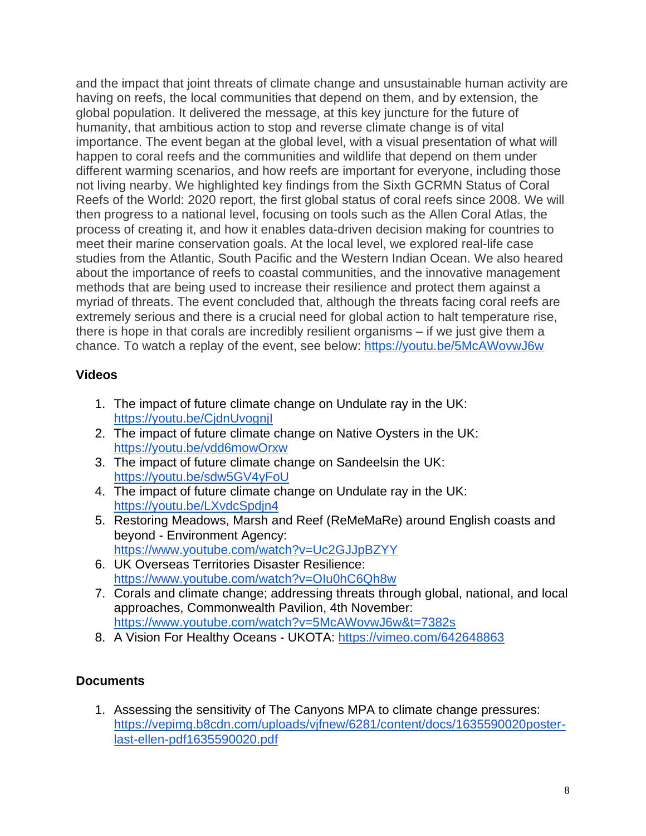and the impact that joint threats of climate change and unsustainable human activity are having on reefs, the local communities that depend on them, and by extension, the global population. It delivered the message, at this key juncture for the future of humanity, that ambitious action to stop and reverse climate change is of vital importance. The event began at the global level, with a visual presentation of what will happen to coral reefs and the communities and wildlife that depend on them under different warming scenarios, and how reefs are important for everyone, including those not living nearby. We highlighted key findings from the Sixth GCRMN Status of Coral Reefs of the World: 2020 report, the first global status of coral reefs since 2008. We will then progress to a national level, focusing on tools such as the Allen Coral Atlas, the process of creating it, and how it enables data-driven decision making for countries to meet their marine conservation goals. At the local level, we explored real-life case studies from the Atlantic, South Pacific and the Western Indian Ocean. We also heared about the importance of reefs to coastal communities, and the innovative management methods that are being used to increase their resilience and protect them against a myriad of threats. The event concluded that, although the threats facing coral reefs are extremely serious and there is a crucial need for global action to halt temperature rise, there is hope in that corals are incredibly resilient organisms – if we just give them a chance. To watch a replay of the event, see below: <https://youtu.be/5McAWovwJ6w>

## **Videos**

- 1. The impact of future climate change on Undulate ray in the UK: <https://youtu.be/CjdnUvognjI>
- 2. The impact of future climate change on Native Oysters in the UK: <https://youtu.be/vdd6mowOrxw>
- 3. The impact of future climate change on Sandeelsin the UK: <https://youtu.be/sdw5GV4yFoU>
- 4. The impact of future climate change on Undulate ray in the UK: <https://youtu.be/LXvdcSpdjn4>
- 5. Restoring Meadows, Marsh and Reef (ReMeMaRe) around English coasts and beyond - Environment Agency: <https://www.youtube.com/watch?v=Uc2GJJpBZYY>
- 6. UK Overseas Territories Disaster Resilience: <https://www.youtube.com/watch?v=OIu0hC6Qh8w>
- 7. Corals and climate change; addressing threats through global, national, and local approaches, Commonwealth Pavilion, 4th November: <https://www.youtube.com/watch?v=5McAWovwJ6w&t=7382s>
- 8. A Vision For Healthy Oceans UKOTA: <https://vimeo.com/642648863>

## **Documents**

1. Assessing the sensitivity of The Canyons MPA to climate change pressures: [https://vepimg.b8cdn.com/uploads/vjfnew/6281/content/docs/1635590020poster](https://vepimg.b8cdn.com/uploads/vjfnew/6281/content/docs/1635590020poster-last-ellen-pdf1635590020.pdf)[last-ellen-pdf1635590020.pdf](https://vepimg.b8cdn.com/uploads/vjfnew/6281/content/docs/1635590020poster-last-ellen-pdf1635590020.pdf)